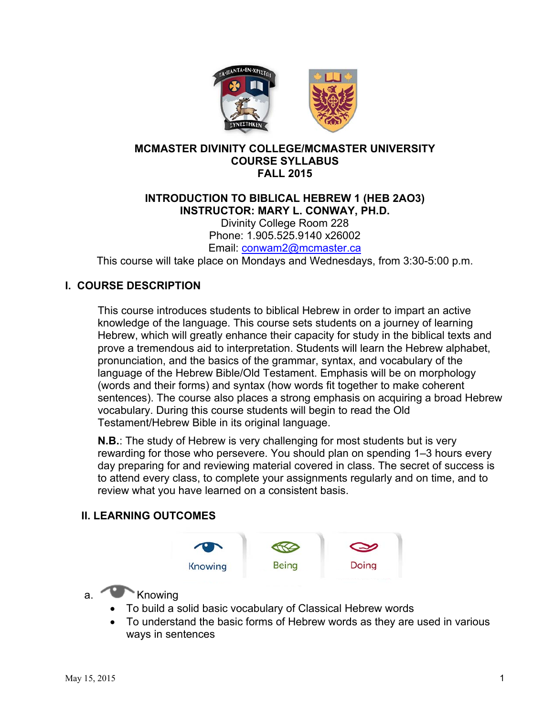

### **MCMASTER DIVINITY COLLEGE/MCMASTER UNIVERSITY COURSE SYLLABUS FALL 2015**

# **INTRODUCTION TO BIBLICAL HEBREW 1 (HEB 2AO3) INSTRUCTOR: MARY L. CONWAY, PH.D.**

Divinity College Room 228 Phone: 1.905.525.9140 x26002 Email: conwam2@mcmaster.ca

This course will take place on Mondays and Wednesdays, from 3:30-5:00 p.m.

### **I. COURSE DESCRIPTION**

This course introduces students to biblical Hebrew in order to impart an active knowledge of the language. This course sets students on a journey of learning Hebrew, which will greatly enhance their capacity for study in the biblical texts and prove a tremendous aid to interpretation. Students will learn the Hebrew alphabet, pronunciation, and the basics of the grammar, syntax, and vocabulary of the language of the Hebrew Bible/Old Testament. Emphasis will be on morphology (words and their forms) and syntax (how words fit together to make coherent sentences). The course also places a strong emphasis on acquiring a broad Hebrew vocabulary. During this course students will begin to read the Old Testament/Hebrew Bible in its original language.

**N.B.**: The study of Hebrew is very challenging for most students but is very rewarding for those who persevere. You should plan on spending 1–3 hours every day preparing for and reviewing material covered in class. The secret of success is to attend every class, to complete your assignments regularly and on time, and to review what you have learned on a consistent basis.

### **II. LEARNING OUTCOMES**



- a. Knowing
	- To build a solid basic vocabulary of Classical Hebrew words
	- To understand the basic forms of Hebrew words as they are used in various ways in sentences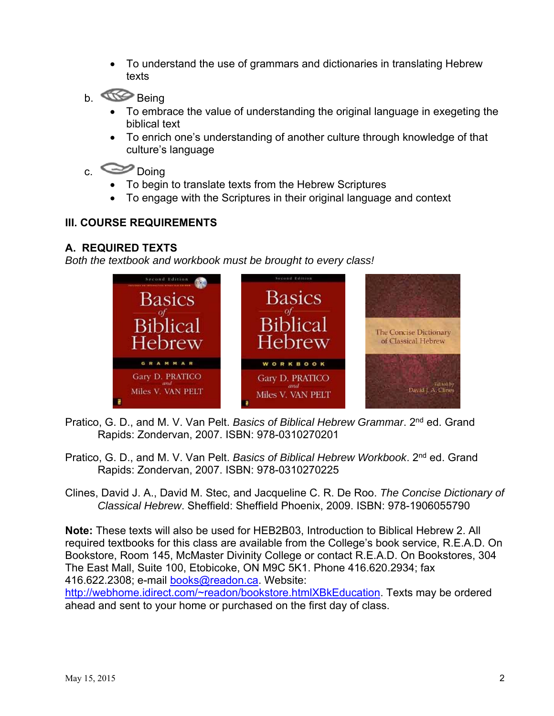- To understand the use of grammars and dictionaries in translating Hebrew texts
- b. Comp Being
	- To embrace the value of understanding the original language in exegeting the biblical text
	- To enrich one's understanding of another culture through knowledge of that culture's language

# c. Doing

- To begin to translate texts from the Hebrew Scriptures
- To engage with the Scriptures in their original language and context

# **III. COURSE REQUIREMENTS**

# **A. REQUIRED TEXTS**

*Both the textbook and workbook must be brought to every class!* 



- Pratico, G. D., and M. V. Van Pelt. *Basics of Biblical Hebrew Grammar*. 2nd ed. Grand Rapids: Zondervan, 2007. ISBN: 978-0310270201
- Pratico, G. D., and M. V. Van Pelt. *Basics of Biblical Hebrew Workbook*. 2nd ed. Grand Rapids: Zondervan, 2007. ISBN: 978-0310270225
- Clines, David J. A., David M. Stec, and Jacqueline C. R. De Roo. *The Concise Dictionary of Classical Hebrew*. Sheffield: Sheffield Phoenix, 2009. ISBN: 978-1906055790

**Note:** These texts will also be used for HEB2B03, Introduction to Biblical Hebrew 2. All required textbooks for this class are available from the College's book service, R.E.A.D. On Bookstore, Room 145, McMaster Divinity College or contact R.E.A.D. On Bookstores, 304 The East Mall, Suite 100, Etobicoke, ON M9C 5K1. Phone 416.620.2934; fax 416.622.2308; e-mail books@readon.ca. Website:

http://webhome.idirect.com/~readon/bookstore.htmlXBkEducation. Texts may be ordered ahead and sent to your home or purchased on the first day of class.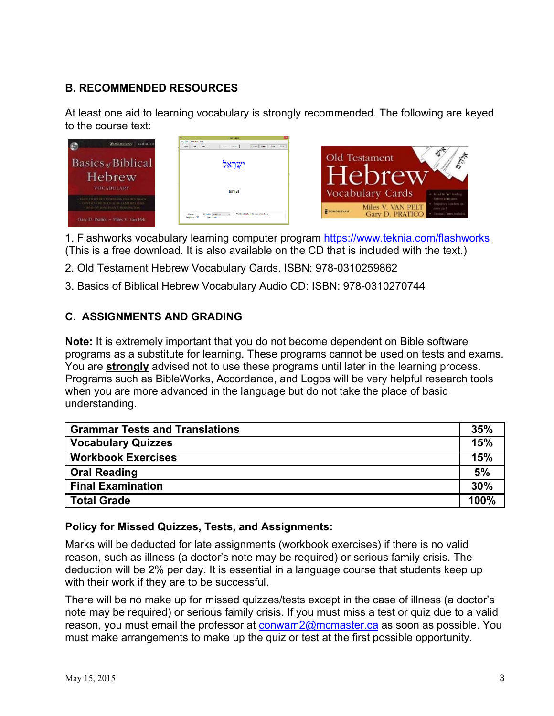# **B. RECOMMENDED RESOURCES**

At least one aid to learning vocabulary is strongly recommended. The following are keyed to the course text:

| <b>ZONDERGAN</b> audio cd                                                   | <b>Hashidiring</b><br><b>Ste Edit Comments Hide</b><br>Provinsi Viena Right Nod<br>Cet Mr.<br>Aits Messa<br>Seems. |                                                                                                                         |
|-----------------------------------------------------------------------------|--------------------------------------------------------------------------------------------------------------------|-------------------------------------------------------------------------------------------------------------------------|
| Basics <sub>of</sub> Biblical<br>Hebrew                                     | יִשְׂרָאֵל                                                                                                         | $\mathcal{A}$<br>Old Testament<br>$\hat{c}$                                                                             |
| <b>VOCABULARY</b><br>- EACH CHAPTER'S WORDS ON FIX OWN TRACK-               | <b>Israel</b>                                                                                                      | Vocabulary Cards<br>* Insider four hoding<br>Вебов аташнага                                                             |
| - CONTAINS BOTH COULDING AND MPA FILES.<br>READ BY JONATHAN T. PENNYSYLTEN: | To Service (Window of this week accountingly<br>Diff.subsc.<br><b>STATISTIC</b><br>Total: Nisa<br>Employees        | · Inquirier misbers as<br>Miles V. VAN PELT<br>ever cattle<br>ZONDERVANT<br>Gary D. PRATICO <b>C</b> Expositions minist |
| Gary D. Pratico - Miles V. Van Pelt                                         |                                                                                                                    |                                                                                                                         |

1. Flashworks vocabulary learning computer program https://www.teknia.com/flashworks (This is a free download. It is also available on the CD that is included with the text.)

- 2. Old Testament Hebrew Vocabulary Cards. ISBN: 978-0310259862
- 3. Basics of Biblical Hebrew Vocabulary Audio CD: ISBN: 978-0310270744

# **C. ASSIGNMENTS AND GRADING**

**Note:** It is extremely important that you do not become dependent on Bible software programs as a substitute for learning. These programs cannot be used on tests and exams. You are **strongly** advised not to use these programs until later in the learning process. Programs such as BibleWorks, Accordance, and Logos will be very helpful research tools when you are more advanced in the language but do not take the place of basic understanding.

| <b>Grammar Tests and Translations</b> |      |
|---------------------------------------|------|
| <b>Vocabulary Quizzes</b>             | 15%  |
| <b>Workbook Exercises</b>             | 15%  |
| <b>Oral Reading</b>                   | 5%   |
| <b>Final Examination</b>              | 30%  |
| <b>Total Grade</b>                    | 100% |

### **Policy for Missed Quizzes, Tests, and Assignments:**

Marks will be deducted for late assignments (workbook exercises) if there is no valid reason, such as illness (a doctor's note may be required) or serious family crisis. The deduction will be 2% per day. It is essential in a language course that students keep up with their work if they are to be successful.

There will be no make up for missed quizzes/tests except in the case of illness (a doctor's note may be required) or serious family crisis. If you must miss a test or quiz due to a valid reason, you must email the professor at conwam2@mcmaster.ca as soon as possible. You must make arrangements to make up the quiz or test at the first possible opportunity.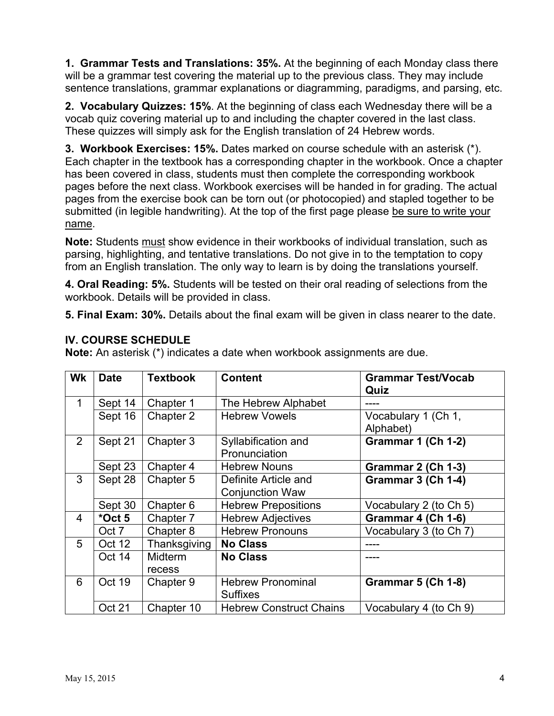**1. Grammar Tests and Translations: 35%.** At the beginning of each Monday class there will be a grammar test covering the material up to the previous class. They may include sentence translations, grammar explanations or diagramming, paradigms, and parsing, etc.

**2. Vocabulary Quizzes: 15%**. At the beginning of class each Wednesday there will be a vocab quiz covering material up to and including the chapter covered in the last class. These quizzes will simply ask for the English translation of 24 Hebrew words.

**3. Workbook Exercises: 15%.** Dates marked on course schedule with an asterisk (\*). Each chapter in the textbook has a corresponding chapter in the workbook. Once a chapter has been covered in class, students must then complete the corresponding workbook pages before the next class. Workbook exercises will be handed in for grading. The actual pages from the exercise book can be torn out (or photocopied) and stapled together to be submitted (in legible handwriting). At the top of the first page please be sure to write your name.

**Note:** Students must show evidence in their workbooks of individual translation, such as parsing, highlighting, and tentative translations. Do not give in to the temptation to copy from an English translation. The only way to learn is by doing the translations yourself.

**4. Oral Reading: 5%.** Students will be tested on their oral reading of selections from the workbook. Details will be provided in class.

**5. Final Exam: 30%.** Details about the final exam will be given in class nearer to the date.

|  |  | <b>IV. COURSE SCHEDULE</b> |
|--|--|----------------------------|
|--|--|----------------------------|

**Note:** An asterisk (\*) indicates a date when workbook assignments are due.

| <b>Wk</b>      | <b>Date</b> | <b>Textbook</b> | <b>Content</b>                 | <b>Grammar Test/Vocab</b> |
|----------------|-------------|-----------------|--------------------------------|---------------------------|
|                |             |                 |                                | Quiz                      |
| 1              | Sept 14     | Chapter 1       | The Hebrew Alphabet            |                           |
|                | Sept 16     | Chapter 2       | <b>Hebrew Vowels</b>           | Vocabulary 1 (Ch 1,       |
|                |             |                 |                                | Alphabet)                 |
| 2              | Sept 21     | Chapter 3       | Syllabification and            | Grammar 1 (Ch 1-2)        |
|                |             |                 | Pronunciation                  |                           |
|                | Sept 23     | Chapter 4       | <b>Hebrew Nouns</b>            | Grammar 2 (Ch 1-3)        |
| 3              | Sept 28     | Chapter 5       | Definite Article and           | Grammar 3 (Ch 1-4)        |
|                |             |                 | <b>Conjunction Waw</b>         |                           |
|                | Sept 30     | Chapter 6       | <b>Hebrew Prepositions</b>     | Vocabulary 2 (to Ch 5)    |
| $\overline{4}$ | *Oct 5      | Chapter 7       | <b>Hebrew Adjectives</b>       | Grammar 4 (Ch 1-6)        |
|                | Oct 7       | Chapter 8       | <b>Hebrew Pronouns</b>         | Vocabulary 3 (to Ch 7)    |
| 5              | Oct 12      | Thanksgiving    | <b>No Class</b>                |                           |
|                | Oct 14      | Midterm         | <b>No Class</b>                |                           |
|                |             | recess          |                                |                           |
| 6              | Oct 19      | Chapter 9       | <b>Hebrew Pronominal</b>       | <b>Grammar 5 (Ch 1-8)</b> |
|                |             |                 | <b>Suffixes</b>                |                           |
|                | Oct 21      | Chapter 10      | <b>Hebrew Construct Chains</b> | Vocabulary 4 (to Ch 9)    |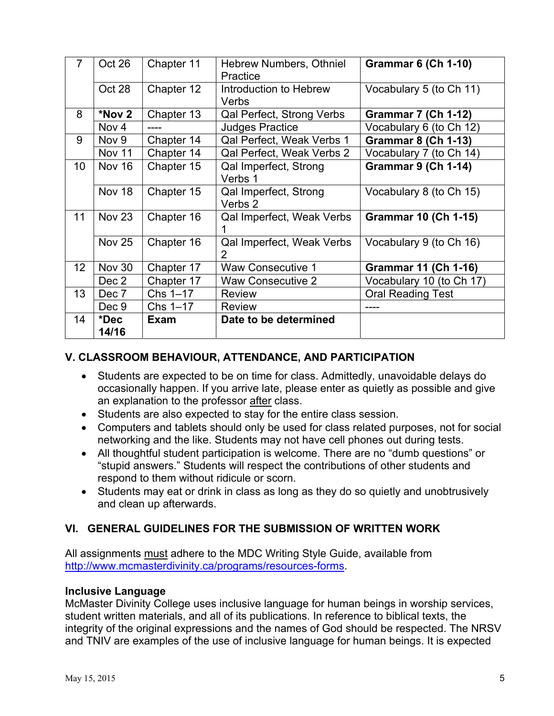| 7               | Oct 26           | Chapter 11  | Hebrew Numbers, Othniel<br>Practice | <b>Grammar 6 (Ch 1-10)</b>  |
|-----------------|------------------|-------------|-------------------------------------|-----------------------------|
|                 | Oct 28           | Chapter 12  | Introduction to Hebrew<br>Verbs     | Vocabulary 5 (to Ch 11)     |
| 8               | *Nov 2           | Chapter 13  | Qal Perfect, Strong Verbs           | <b>Grammar 7 (Ch 1-12)</b>  |
|                 | Nov <sub>4</sub> |             | <b>Judges Practice</b>              | Vocabulary 6 (to Ch 12)     |
| 9               | Nov 9            | Chapter 14  | Qal Perfect, Weak Verbs 1           | <b>Grammar 8 (Ch 1-13)</b>  |
|                 | Nov 11           | Chapter 14  | Qal Perfect, Weak Verbs 2           | Vocabulary 7 (to Ch 14)     |
| 10              | <b>Nov 16</b>    | Chapter 15  | Qal Imperfect, Strong<br>Verbs 1    | <b>Grammar 9 (Ch 1-14)</b>  |
|                 | Nov 18           | Chapter 15  | Qal Imperfect, Strong<br>Verbs 2    | Vocabulary 8 (to Ch 15)     |
| 11              | <b>Nov 23</b>    | Chapter 16  | Qal Imperfect, Weak Verbs           | <b>Grammar 10 (Ch 1-15)</b> |
|                 | <b>Nov 25</b>    | Chapter 16  | Qal Imperfect, Weak Verbs<br>2      | Vocabulary 9 (to Ch 16)     |
| 12 <sup>2</sup> | <b>Nov 30</b>    | Chapter 17  | Waw Consecutive 1                   | <b>Grammar 11 (Ch 1-16)</b> |
|                 | Dec 2            | Chapter 17  | Waw Consecutive 2                   | Vocabulary 10 (to Ch 17)    |
| 13              | Dec 7            | $Chs$ 1-17  | <b>Review</b>                       | <b>Oral Reading Test</b>    |
|                 | Dec 9            | $Chs$ 1-17  | <b>Review</b>                       | ----                        |
| 14              | *Dec<br>14/16    | <b>Exam</b> | Date to be determined               |                             |

# **V. CLASSROOM BEHAVIOUR, ATTENDANCE, AND PARTICIPATION**

- Students are expected to be on time for class. Admittedly, unavoidable delays do occasionally happen. If you arrive late, please enter as quietly as possible and give an explanation to the professor after class.
- Students are also expected to stay for the entire class session.
- Computers and tablets should only be used for class related purposes, not for social networking and the like. Students may not have cell phones out during tests.
- All thoughtful student participation is welcome. There are no "dumb questions" or "stupid answers." Students will respect the contributions of other students and respond to them without ridicule or scorn.
- Students may eat or drink in class as long as they do so quietly and unobtrusively and clean up afterwards.

# **VI. GENERAL GUIDELINES FOR THE SUBMISSION OF WRITTEN WORK**

All assignments must adhere to the MDC Writing Style Guide, available from http://www.mcmasterdivinity.ca/programs/resources-forms.

### **Inclusive Language**

McMaster Divinity College uses inclusive language for human beings in worship services, student written materials, and all of its publications. In reference to biblical texts, the integrity of the original expressions and the names of God should be respected. The NRSV and TNIV are examples of the use of inclusive language for human beings. It is expected